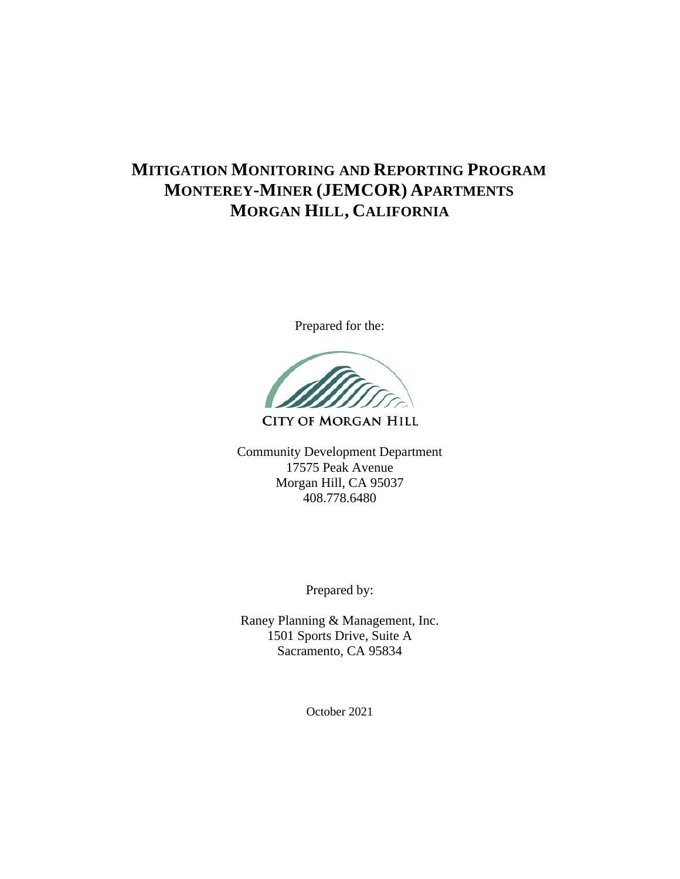## **MITIGATION MONITORING AND REPORTING PROGRAM MONTEREY-MINER (JEMCOR) APARTMENTS MORGAN HILL, CALIFORNIA**

Prepared for the:

**CITY OF MORGAN HILL** 

Community Development Department 17575 Peak Avenue Morgan Hill, CA 95037 408.778.6480

Prepared by:

Raney Planning & Management, Inc. 1501 Sports Drive, Suite A Sacramento, CA 95834

October 2021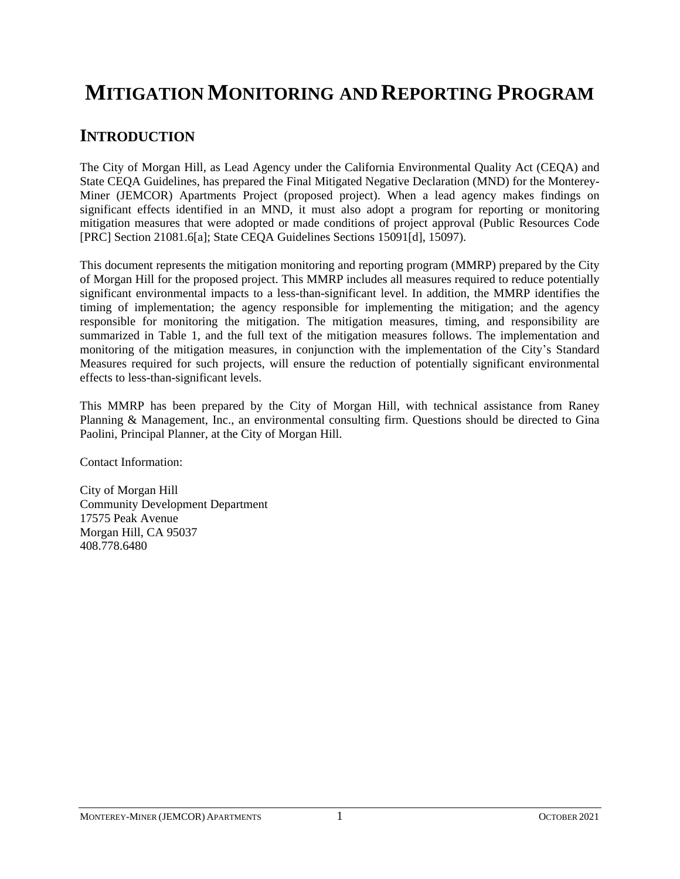# **MITIGATION MONITORING AND REPORTING PROGRAM**

### **INTRODUCTION**

The City of Morgan Hill, as Lead Agency under the California Environmental Quality Act (CEQA) and State CEQA Guidelines, has prepared the Final Mitigated Negative Declaration (MND) for the Monterey-Miner (JEMCOR) Apartments Project (proposed project). When a lead agency makes findings on significant effects identified in an MND, it must also adopt a program for reporting or monitoring mitigation measures that were adopted or made conditions of project approval (Public Resources Code [PRC] Section 21081.6[a]; State CEQA Guidelines Sections 15091[d], 15097).

This document represents the mitigation monitoring and reporting program (MMRP) prepared by the City of Morgan Hill for the proposed project. This MMRP includes all measures required to reduce potentially significant environmental impacts to a less-than-significant level. In addition, the MMRP identifies the timing of implementation; the agency responsible for implementing the mitigation; and the agency responsible for monitoring the mitigation. The mitigation measures, timing, and responsibility are summarized in Table 1, and the full text of the mitigation measures follows. The implementation and monitoring of the mitigation measures, in conjunction with the implementation of the City's Standard Measures required for such projects, will ensure the reduction of potentially significant environmental effects to less-than-significant levels.

This MMRP has been prepared by the City of Morgan Hill, with technical assistance from Raney Planning & Management, Inc., an environmental consulting firm. Questions should be directed to Gina Paolini, Principal Planner, at the City of Morgan Hill.

Contact Information:

City of Morgan Hill Community Development Department 17575 Peak Avenue Morgan Hill, CA 95037 408.778.6480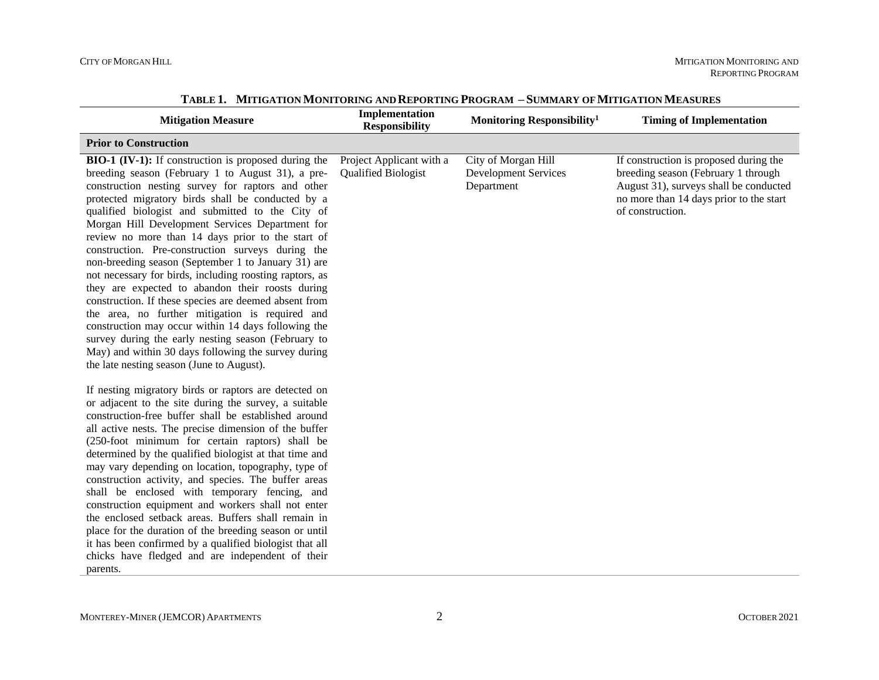| <b>Mitigation Measure</b>                                                                                                                                                                                                                                                                                                                                                                                                                                                                                                                                                                                                                                                                                                                                                                                                                                                                                                                       | Implementation<br><b>Responsibility</b>                | Monitoring Responsibility <sup>1</sup>                           | <b>Timing of Implementation</b>                                                                                                                                                        |
|-------------------------------------------------------------------------------------------------------------------------------------------------------------------------------------------------------------------------------------------------------------------------------------------------------------------------------------------------------------------------------------------------------------------------------------------------------------------------------------------------------------------------------------------------------------------------------------------------------------------------------------------------------------------------------------------------------------------------------------------------------------------------------------------------------------------------------------------------------------------------------------------------------------------------------------------------|--------------------------------------------------------|------------------------------------------------------------------|----------------------------------------------------------------------------------------------------------------------------------------------------------------------------------------|
| <b>Prior to Construction</b>                                                                                                                                                                                                                                                                                                                                                                                                                                                                                                                                                                                                                                                                                                                                                                                                                                                                                                                    |                                                        |                                                                  |                                                                                                                                                                                        |
| <b>BIO-1 (IV-1):</b> If construction is proposed during the<br>breeding season (February 1 to August 31), a pre-<br>construction nesting survey for raptors and other<br>protected migratory birds shall be conducted by a<br>qualified biologist and submitted to the City of<br>Morgan Hill Development Services Department for<br>review no more than 14 days prior to the start of<br>construction. Pre-construction surveys during the<br>non-breeding season (September 1 to January 31) are<br>not necessary for birds, including roosting raptors, as<br>they are expected to abandon their roosts during<br>construction. If these species are deemed absent from<br>the area, no further mitigation is required and<br>construction may occur within 14 days following the<br>survey during the early nesting season (February to<br>May) and within 30 days following the survey during<br>the late nesting season (June to August). | Project Applicant with a<br><b>Qualified Biologist</b> | City of Morgan Hill<br><b>Development Services</b><br>Department | If construction is proposed during the<br>breeding season (February 1 through<br>August 31), surveys shall be conducted<br>no more than 14 days prior to the start<br>of construction. |
| If nesting migratory birds or raptors are detected on<br>or adjacent to the site during the survey, a suitable<br>construction-free buffer shall be established around<br>all active nests. The precise dimension of the buffer<br>(250-foot minimum for certain raptors) shall be<br>determined by the qualified biologist at that time and<br>may vary depending on location, topography, type of<br>construction activity, and species. The buffer areas<br>shall be enclosed with temporary fencing, and<br>construction equipment and workers shall not enter<br>the enclosed setback areas. Buffers shall remain in<br>place for the duration of the breeding season or until<br>it has been confirmed by a qualified biologist that all<br>chicks have fledged and are independent of their<br>parents.                                                                                                                                  |                                                        |                                                                  |                                                                                                                                                                                        |

**TABLE 1. MITIGATION MONITORING AND REPORTING PROGRAM – SUMMARY OF MITIGATION MEASURES**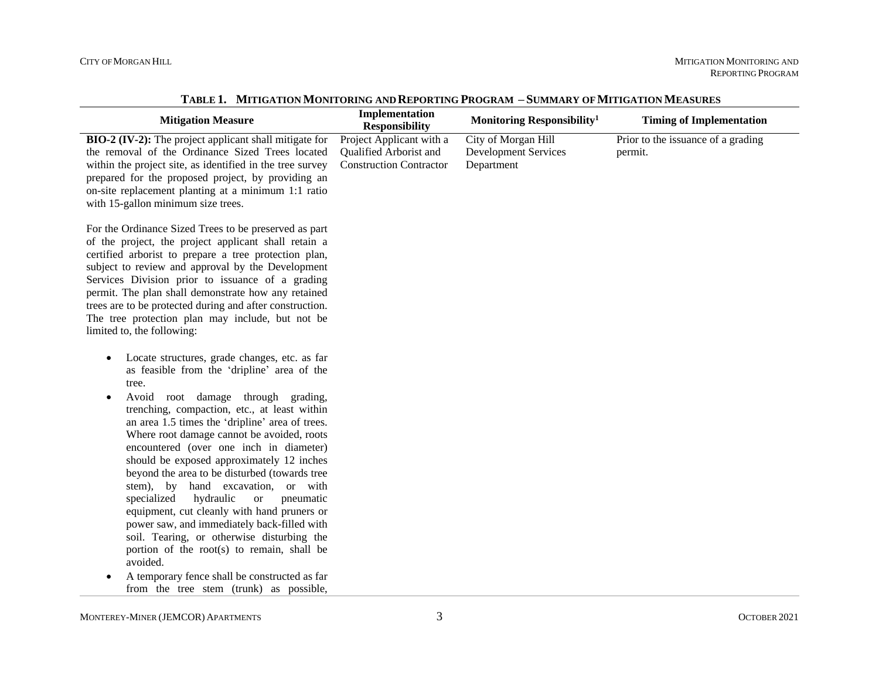| <b>Mitigation Measure</b>                                                                                                                                                                                                                                                                                                                                                                                                                                                                                                                                                                                                                                                                                                                                                                                                                                                  | Implementation<br><b>Responsibility</b>                                              | Monitoring Responsibility <sup>1</sup>                           | <b>Timing of Implementation</b>               |
|----------------------------------------------------------------------------------------------------------------------------------------------------------------------------------------------------------------------------------------------------------------------------------------------------------------------------------------------------------------------------------------------------------------------------------------------------------------------------------------------------------------------------------------------------------------------------------------------------------------------------------------------------------------------------------------------------------------------------------------------------------------------------------------------------------------------------------------------------------------------------|--------------------------------------------------------------------------------------|------------------------------------------------------------------|-----------------------------------------------|
| <b>BIO-2 (IV-2):</b> The project applicant shall mitigate for<br>the removal of the Ordinance Sized Trees located<br>within the project site, as identified in the tree survey<br>prepared for the proposed project, by providing an<br>on-site replacement planting at a minimum 1:1 ratio<br>with 15-gallon minimum size trees.                                                                                                                                                                                                                                                                                                                                                                                                                                                                                                                                          | Project Applicant with a<br>Qualified Arborist and<br><b>Construction Contractor</b> | City of Morgan Hill<br><b>Development Services</b><br>Department | Prior to the issuance of a grading<br>permit. |
| For the Ordinance Sized Trees to be preserved as part<br>of the project, the project applicant shall retain a<br>certified arborist to prepare a tree protection plan,<br>subject to review and approval by the Development<br>Services Division prior to issuance of a grading<br>permit. The plan shall demonstrate how any retained<br>trees are to be protected during and after construction.<br>The tree protection plan may include, but not be<br>limited to, the following:                                                                                                                                                                                                                                                                                                                                                                                       |                                                                                      |                                                                  |                                               |
| Locate structures, grade changes, etc. as far<br>$\bullet$<br>as feasible from the 'dripline' area of the<br>tree.<br>Avoid root damage through grading,<br>$\bullet$<br>trenching, compaction, etc., at least within<br>an area 1.5 times the 'dripline' area of trees.<br>Where root damage cannot be avoided, roots<br>encountered (over one inch in diameter)<br>should be exposed approximately 12 inches<br>beyond the area to be disturbed (towards tree<br>stem), by hand excavation, or with<br>specialized<br>hydraulic<br><b>or</b><br>pneumatic<br>equipment, cut cleanly with hand pruners or<br>power saw, and immediately back-filled with<br>soil. Tearing, or otherwise disturbing the<br>portion of the root(s) to remain, shall be<br>avoided.<br>A temporary fence shall be constructed as far<br>$\bullet$<br>from the tree stem (trunk) as possible, |                                                                                      |                                                                  |                                               |

**TABLE 1. MITIGATION MONITORING AND REPORTING PROGRAM – SUMMARY OF MITIGATION MEASURES**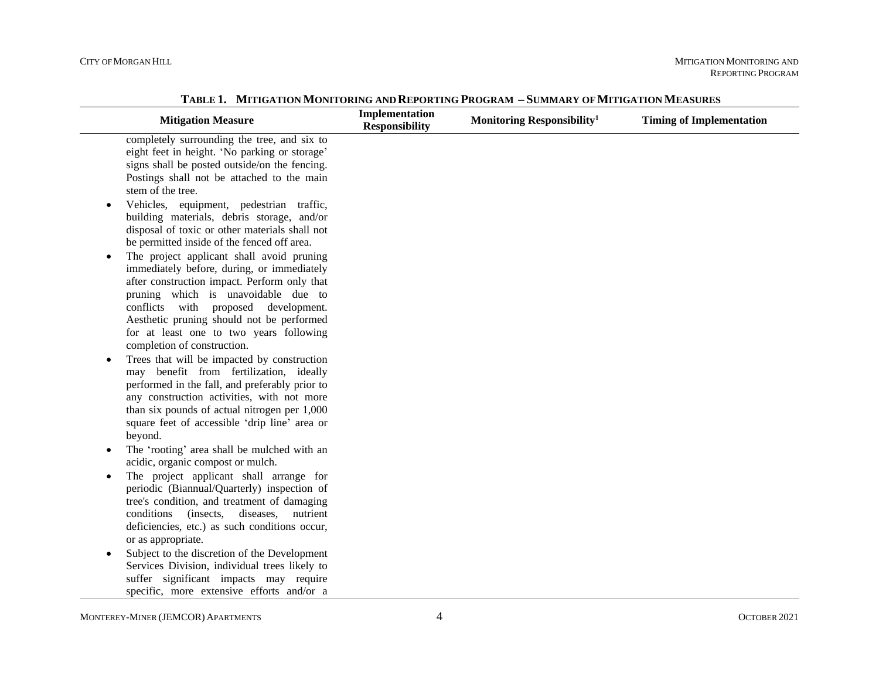| <b>Mitigation Measure</b>                                                                                                                                                                                                                                                                                                                      | Implementation<br><b>Responsibility</b> | Monitoring Responsibility <sup>1</sup> | <b>Timing of Implementation</b> |
|------------------------------------------------------------------------------------------------------------------------------------------------------------------------------------------------------------------------------------------------------------------------------------------------------------------------------------------------|-----------------------------------------|----------------------------------------|---------------------------------|
| completely surrounding the tree, and six to<br>eight feet in height. 'No parking or storage'<br>signs shall be posted outside/on the fencing.<br>Postings shall not be attached to the main<br>stem of the tree.                                                                                                                               |                                         |                                        |                                 |
| Vehicles, equipment, pedestrian traffic,<br>$\bullet$<br>building materials, debris storage, and/or<br>disposal of toxic or other materials shall not<br>be permitted inside of the fenced off area.                                                                                                                                           |                                         |                                        |                                 |
| The project applicant shall avoid pruning<br>$\bullet$<br>immediately before, during, or immediately<br>after construction impact. Perform only that<br>pruning which is unavoidable due to<br>conflicts with proposed development.<br>Aesthetic pruning should not be performed<br>for at least one to two years following                    |                                         |                                        |                                 |
| completion of construction.<br>Trees that will be impacted by construction<br>$\bullet$<br>may benefit from fertilization, ideally<br>performed in the fall, and preferably prior to<br>any construction activities, with not more<br>than six pounds of actual nitrogen per 1,000<br>square feet of accessible 'drip line' area or<br>beyond. |                                         |                                        |                                 |
| The 'rooting' area shall be mulched with an<br>$\bullet$<br>acidic, organic compost or mulch.<br>The project applicant shall arrange for<br>$\bullet$<br>periodic (Biannual/Quarterly) inspection of                                                                                                                                           |                                         |                                        |                                 |
| tree's condition, and treatment of damaging<br>diseases,<br>conditions<br>(insects,<br>nutrient<br>deficiencies, etc.) as such conditions occur,<br>or as appropriate.                                                                                                                                                                         |                                         |                                        |                                 |
| Subject to the discretion of the Development<br>$\bullet$<br>Services Division, individual trees likely to<br>suffer significant impacts may require<br>specific, more extensive efforts and/or a                                                                                                                                              |                                         |                                        |                                 |

**TABLE 1. MITIGATION MONITORING AND REPORTING PROGRAM – SUMMARY OF MITIGATION MEASURES**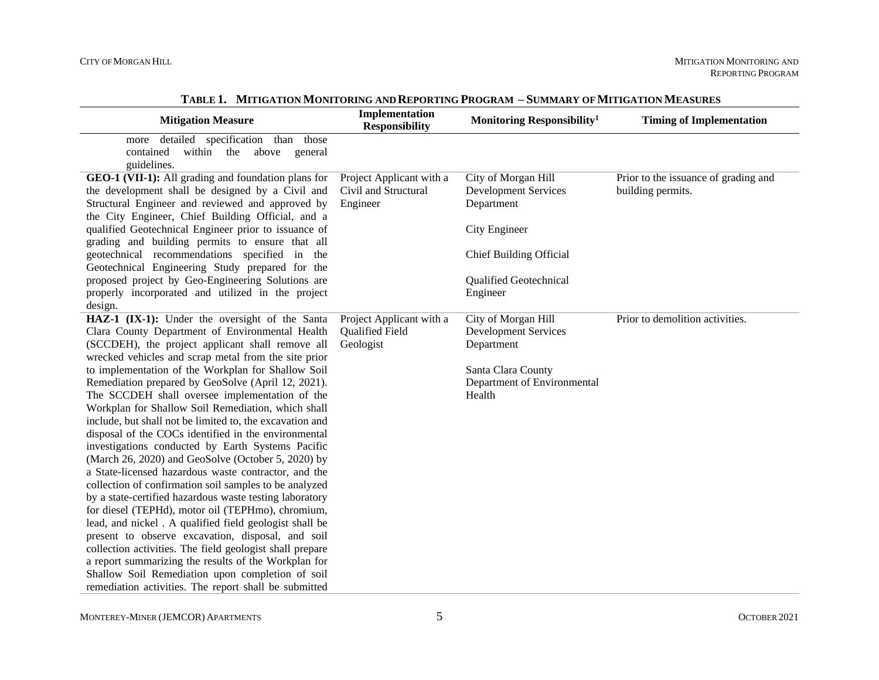| <b>Mitigation Measure</b>                                                                                                                                                                                                                                                                                                                                                                                                                                                                                                                                                                                                                                                                                                                                                                                                                                                                                                                                                                                                                                                     | Implementation<br><b>Responsibility</b>                      | Monitoring Responsibility <sup>1</sup>                                                                                          | <b>Timing of Implementation</b>                           |
|-------------------------------------------------------------------------------------------------------------------------------------------------------------------------------------------------------------------------------------------------------------------------------------------------------------------------------------------------------------------------------------------------------------------------------------------------------------------------------------------------------------------------------------------------------------------------------------------------------------------------------------------------------------------------------------------------------------------------------------------------------------------------------------------------------------------------------------------------------------------------------------------------------------------------------------------------------------------------------------------------------------------------------------------------------------------------------|--------------------------------------------------------------|---------------------------------------------------------------------------------------------------------------------------------|-----------------------------------------------------------|
| detailed specification than those<br>more<br>contained within the above general<br>guidelines.                                                                                                                                                                                                                                                                                                                                                                                                                                                                                                                                                                                                                                                                                                                                                                                                                                                                                                                                                                                |                                                              |                                                                                                                                 |                                                           |
| GEO-1 (VII-1): All grading and foundation plans for<br>the development shall be designed by a Civil and<br>Structural Engineer and reviewed and approved by<br>the City Engineer, Chief Building Official, and a                                                                                                                                                                                                                                                                                                                                                                                                                                                                                                                                                                                                                                                                                                                                                                                                                                                              | Project Applicant with a<br>Civil and Structural<br>Engineer | City of Morgan Hill<br><b>Development Services</b><br>Department                                                                | Prior to the issuance of grading and<br>building permits. |
| qualified Geotechnical Engineer prior to issuance of<br>grading and building permits to ensure that all                                                                                                                                                                                                                                                                                                                                                                                                                                                                                                                                                                                                                                                                                                                                                                                                                                                                                                                                                                       |                                                              | City Engineer                                                                                                                   |                                                           |
| geotechnical recommendations specified in the<br>Geotechnical Engineering Study prepared for the                                                                                                                                                                                                                                                                                                                                                                                                                                                                                                                                                                                                                                                                                                                                                                                                                                                                                                                                                                              |                                                              | <b>Chief Building Official</b>                                                                                                  |                                                           |
| proposed project by Geo-Engineering Solutions are<br>properly incorporated and utilized in the project<br>design.                                                                                                                                                                                                                                                                                                                                                                                                                                                                                                                                                                                                                                                                                                                                                                                                                                                                                                                                                             |                                                              | Qualified Geotechnical<br>Engineer                                                                                              |                                                           |
| HAZ-1 (IX-1): Under the oversight of the Santa<br>Clara County Department of Environmental Health<br>(SCCDEH), the project applicant shall remove all<br>wrecked vehicles and scrap metal from the site prior<br>to implementation of the Workplan for Shallow Soil<br>Remediation prepared by GeoSolve (April 12, 2021).<br>The SCCDEH shall oversee implementation of the<br>Workplan for Shallow Soil Remediation, which shall<br>include, but shall not be limited to, the excavation and<br>disposal of the COCs identified in the environmental<br>investigations conducted by Earth Systems Pacific<br>(March 26, 2020) and GeoSolve (October 5, 2020) by<br>a State-licensed hazardous waste contractor, and the<br>collection of confirmation soil samples to be analyzed<br>by a state-certified hazardous waste testing laboratory<br>for diesel (TEPHd), motor oil (TEPHmo), chromium,<br>lead, and nickel. A qualified field geologist shall be<br>present to observe excavation, disposal, and soil<br>collection activities. The field geologist shall prepare | Project Applicant with a<br>Qualified Field<br>Geologist     | City of Morgan Hill<br><b>Development Services</b><br>Department<br>Santa Clara County<br>Department of Environmental<br>Health | Prior to demolition activities.                           |
| a report summarizing the results of the Workplan for<br>Shallow Soil Remediation upon completion of soil<br>remediation activities. The report shall be submitted                                                                                                                                                                                                                                                                                                                                                                                                                                                                                                                                                                                                                                                                                                                                                                                                                                                                                                             |                                                              |                                                                                                                                 |                                                           |

**TABLE 1. MITIGATION MONITORING AND REPORTING PROGRAM – SUMMARY OF MITIGATION MEASURES**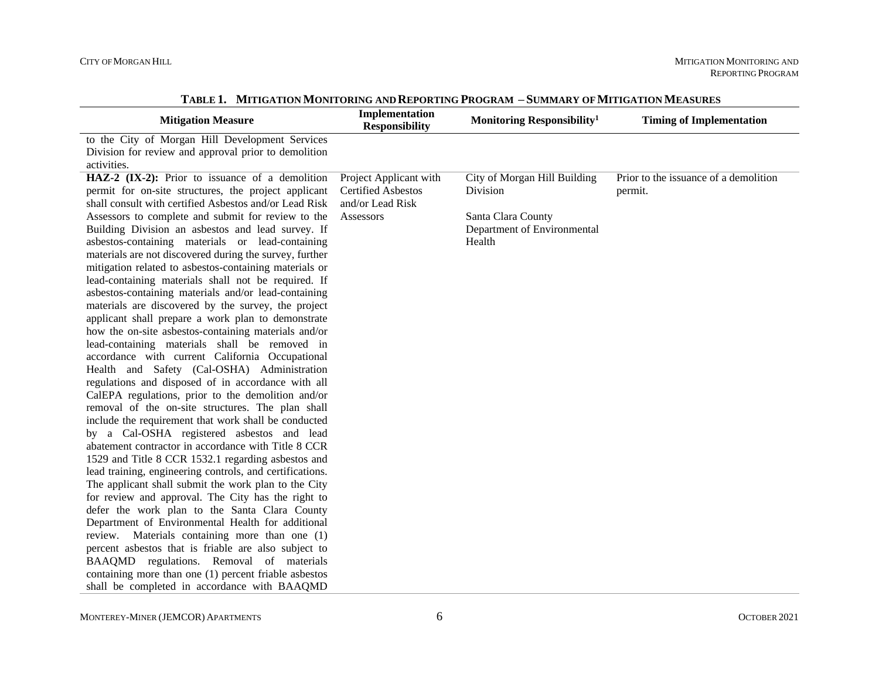| <b>Mitigation Measure</b>                                                                                                                                                                                                     | Implementation<br><b>Responsibility</b>                                 | Monitoring Responsibility <sup>1</sup>                      | <b>Timing of Implementation</b>                  |
|-------------------------------------------------------------------------------------------------------------------------------------------------------------------------------------------------------------------------------|-------------------------------------------------------------------------|-------------------------------------------------------------|--------------------------------------------------|
| to the City of Morgan Hill Development Services<br>Division for review and approval prior to demolition<br>activities.                                                                                                        |                                                                         |                                                             |                                                  |
| HAZ-2 (IX-2): Prior to issuance of a demolition<br>permit for on-site structures, the project applicant<br>shall consult with certified Asbestos and/or Lead Risk                                                             | Project Applicant with<br><b>Certified Asbestos</b><br>and/or Lead Risk | City of Morgan Hill Building<br>Division                    | Prior to the issuance of a demolition<br>permit. |
| Assessors to complete and submit for review to the<br>Building Division an asbestos and lead survey. If<br>asbestos-containing materials or lead-containing<br>materials are not discovered during the survey, further        | Assessors                                                               | Santa Clara County<br>Department of Environmental<br>Health |                                                  |
| mitigation related to asbestos-containing materials or<br>lead-containing materials shall not be required. If<br>asbestos-containing materials and/or lead-containing<br>materials are discovered by the survey, the project  |                                                                         |                                                             |                                                  |
| applicant shall prepare a work plan to demonstrate<br>how the on-site asbestos-containing materials and/or<br>lead-containing materials shall be removed in                                                                   |                                                                         |                                                             |                                                  |
| accordance with current California Occupational<br>Health and Safety (Cal-OSHA) Administration<br>regulations and disposed of in accordance with all<br>CalEPA regulations, prior to the demolition and/or                    |                                                                         |                                                             |                                                  |
| removal of the on-site structures. The plan shall<br>include the requirement that work shall be conducted<br>by a Cal-OSHA registered asbestos and lead                                                                       |                                                                         |                                                             |                                                  |
| abatement contractor in accordance with Title 8 CCR<br>1529 and Title 8 CCR 1532.1 regarding asbestos and<br>lead training, engineering controls, and certifications.<br>The applicant shall submit the work plan to the City |                                                                         |                                                             |                                                  |
| for review and approval. The City has the right to<br>defer the work plan to the Santa Clara County<br>Department of Environmental Health for additional                                                                      |                                                                         |                                                             |                                                  |
| review. Materials containing more than one (1)<br>percent asbestos that is friable are also subject to<br>BAAQMD regulations. Removal of materials                                                                            |                                                                         |                                                             |                                                  |
| containing more than one (1) percent friable asbestos<br>shall be completed in accordance with BAAQMD                                                                                                                         |                                                                         |                                                             |                                                  |

**TABLE 1. MITIGATION MONITORING AND REPORTING PROGRAM – SUMMARY OF MITIGATION MEASURES**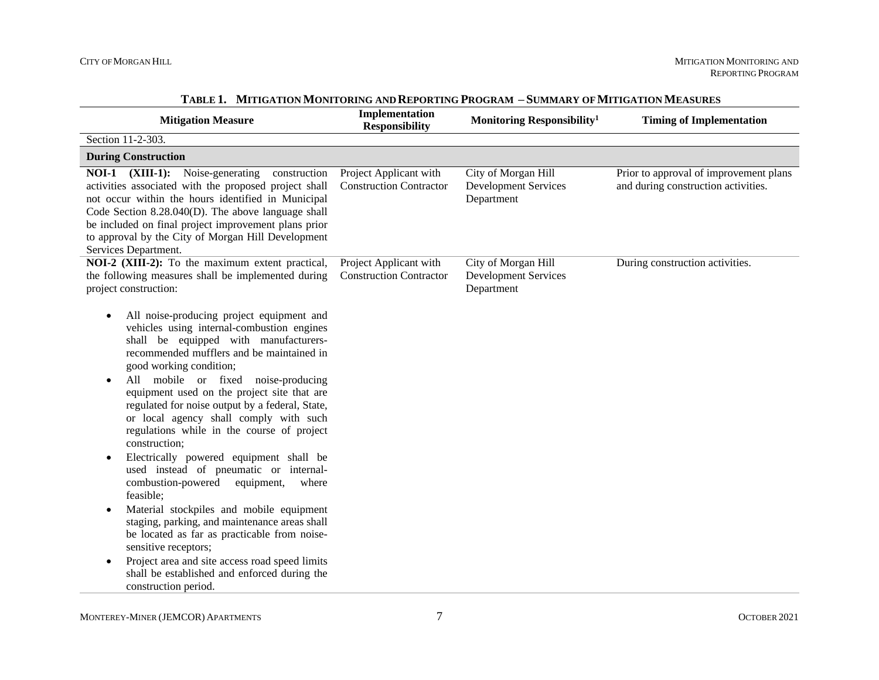| <b>Mitigation Measure</b>                                                                                                                                                                                                                                                                                                                                                                                                                                                                                                                                                                                                                                                                                                                                                                                                                                                                                                                       | Implementation<br><b>Responsibility</b>                  | Monitoring Responsibility <sup>1</sup>                           | <b>Timing of Implementation</b>                                               |
|-------------------------------------------------------------------------------------------------------------------------------------------------------------------------------------------------------------------------------------------------------------------------------------------------------------------------------------------------------------------------------------------------------------------------------------------------------------------------------------------------------------------------------------------------------------------------------------------------------------------------------------------------------------------------------------------------------------------------------------------------------------------------------------------------------------------------------------------------------------------------------------------------------------------------------------------------|----------------------------------------------------------|------------------------------------------------------------------|-------------------------------------------------------------------------------|
| Section 11-2-303.                                                                                                                                                                                                                                                                                                                                                                                                                                                                                                                                                                                                                                                                                                                                                                                                                                                                                                                               |                                                          |                                                                  |                                                                               |
| <b>During Construction</b>                                                                                                                                                                                                                                                                                                                                                                                                                                                                                                                                                                                                                                                                                                                                                                                                                                                                                                                      |                                                          |                                                                  |                                                                               |
| <b>NOI-1</b> (XIII-1): Noise-generating<br>construction<br>activities associated with the proposed project shall<br>not occur within the hours identified in Municipal<br>Code Section 8.28.040(D). The above language shall<br>be included on final project improvement plans prior<br>to approval by the City of Morgan Hill Development<br>Services Department.                                                                                                                                                                                                                                                                                                                                                                                                                                                                                                                                                                              | Project Applicant with<br><b>Construction Contractor</b> | City of Morgan Hill<br><b>Development Services</b><br>Department | Prior to approval of improvement plans<br>and during construction activities. |
| NOI-2 (XIII-2): To the maximum extent practical,<br>the following measures shall be implemented during<br>project construction:                                                                                                                                                                                                                                                                                                                                                                                                                                                                                                                                                                                                                                                                                                                                                                                                                 | Project Applicant with<br><b>Construction Contractor</b> | City of Morgan Hill<br><b>Development Services</b><br>Department | During construction activities.                                               |
| All noise-producing project equipment and<br>$\bullet$<br>vehicles using internal-combustion engines<br>shall be equipped with manufacturers-<br>recommended mufflers and be maintained in<br>good working condition;<br>All mobile or fixed noise-producing<br>equipment used on the project site that are<br>regulated for noise output by a federal, State,<br>or local agency shall comply with such<br>regulations while in the course of project<br>construction;<br>Electrically powered equipment shall be<br>$\bullet$<br>used instead of pneumatic or internal-<br>combustion-powered<br>equipment,<br>where<br>feasible;<br>Material stockpiles and mobile equipment<br>staging, parking, and maintenance areas shall<br>be located as far as practicable from noise-<br>sensitive receptors;<br>Project area and site access road speed limits<br>$\bullet$<br>shall be established and enforced during the<br>construction period. |                                                          |                                                                  |                                                                               |

### **TABLE 1. MITIGATION MONITORING AND REPORTING PROGRAM – SUMMARY OF MITIGATION MEASURES**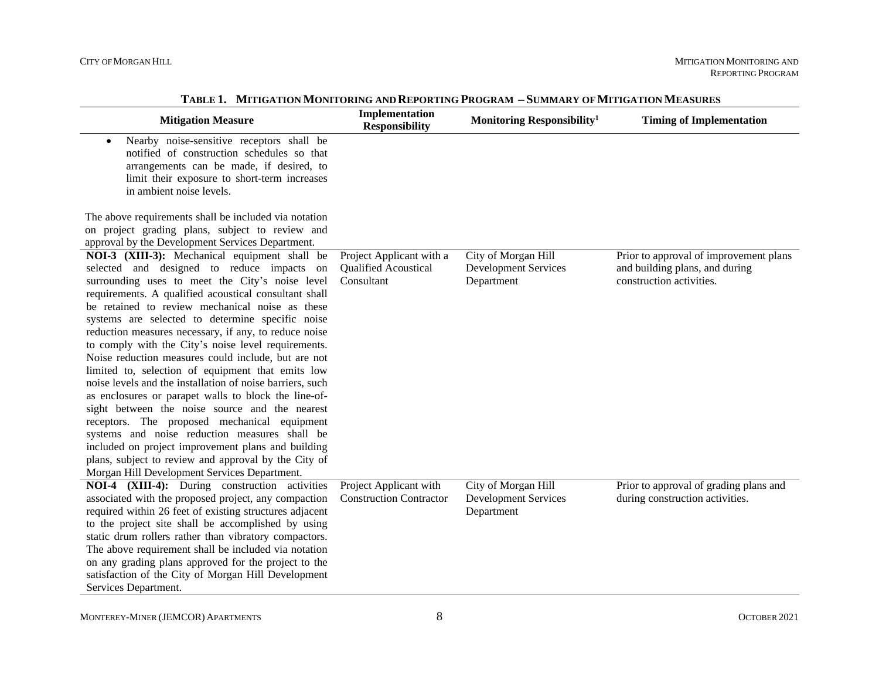| <b>Mitigation Measure</b>                                                                                                                                                                                                                                                                                                                                                                                                                                                                                                                                                                                                                                                                                                                                                                                                                                                                                                                                                        | Implementation<br><b>Responsibility</b>                        | Monitoring Responsibility <sup>1</sup>                           | <b>Timing of Implementation</b>                                                                      |
|----------------------------------------------------------------------------------------------------------------------------------------------------------------------------------------------------------------------------------------------------------------------------------------------------------------------------------------------------------------------------------------------------------------------------------------------------------------------------------------------------------------------------------------------------------------------------------------------------------------------------------------------------------------------------------------------------------------------------------------------------------------------------------------------------------------------------------------------------------------------------------------------------------------------------------------------------------------------------------|----------------------------------------------------------------|------------------------------------------------------------------|------------------------------------------------------------------------------------------------------|
| Nearby noise-sensitive receptors shall be<br>$\bullet$<br>notified of construction schedules so that<br>arrangements can be made, if desired, to<br>limit their exposure to short-term increases<br>in ambient noise levels.                                                                                                                                                                                                                                                                                                                                                                                                                                                                                                                                                                                                                                                                                                                                                     |                                                                |                                                                  |                                                                                                      |
| The above requirements shall be included via notation<br>on project grading plans, subject to review and<br>approval by the Development Services Department.                                                                                                                                                                                                                                                                                                                                                                                                                                                                                                                                                                                                                                                                                                                                                                                                                     |                                                                |                                                                  |                                                                                                      |
| NOI-3 (XIII-3): Mechanical equipment shall be<br>selected and designed to reduce impacts on<br>surrounding uses to meet the City's noise level<br>requirements. A qualified acoustical consultant shall<br>be retained to review mechanical noise as these<br>systems are selected to determine specific noise<br>reduction measures necessary, if any, to reduce noise<br>to comply with the City's noise level requirements.<br>Noise reduction measures could include, but are not<br>limited to, selection of equipment that emits low<br>noise levels and the installation of noise barriers, such<br>as enclosures or parapet walls to block the line-of-<br>sight between the noise source and the nearest<br>receptors. The proposed mechanical equipment<br>systems and noise reduction measures shall be<br>included on project improvement plans and building<br>plans, subject to review and approval by the City of<br>Morgan Hill Development Services Department. | Project Applicant with a<br>Qualified Acoustical<br>Consultant | City of Morgan Hill<br><b>Development Services</b><br>Department | Prior to approval of improvement plans<br>and building plans, and during<br>construction activities. |
| NOI-4 (XIII-4): During construction activities<br>associated with the proposed project, any compaction<br>required within 26 feet of existing structures adjacent<br>to the project site shall be accomplished by using<br>static drum rollers rather than vibratory compactors.<br>The above requirement shall be included via notation<br>on any grading plans approved for the project to the<br>satisfaction of the City of Morgan Hill Development<br>Services Department.                                                                                                                                                                                                                                                                                                                                                                                                                                                                                                  | Project Applicant with<br><b>Construction Contractor</b>       | City of Morgan Hill<br><b>Development Services</b><br>Department | Prior to approval of grading plans and<br>during construction activities.                            |

**TABLE 1. MITIGATION MONITORING AND REPORTING PROGRAM – SUMMARY OF MITIGATION MEASURES**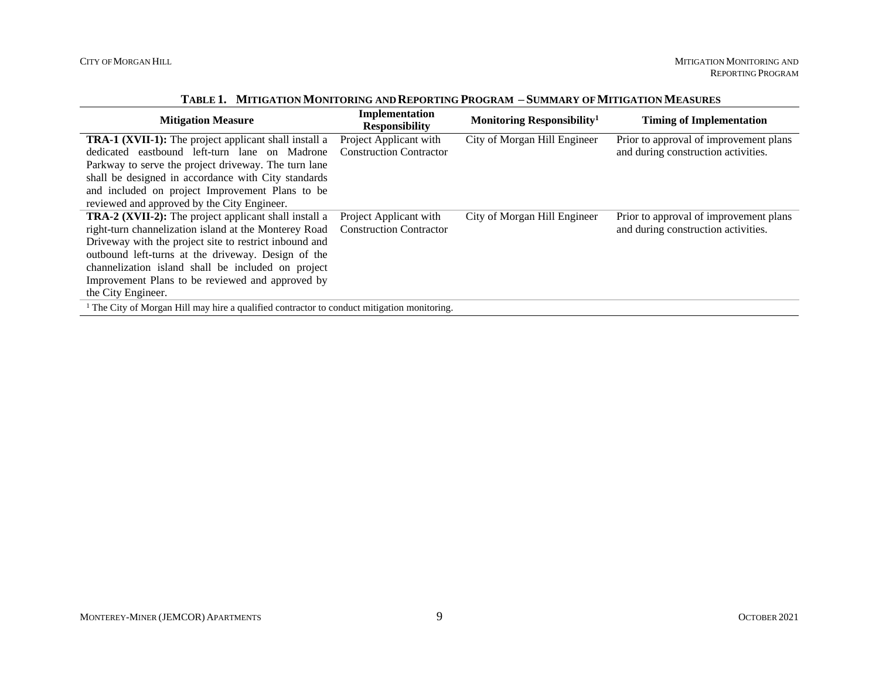|  | TABLE 1. MITIGATION MONITORING AND REPORTING PROGRAM - SUMMARY OF MITIGATION MEASURES |  |
|--|---------------------------------------------------------------------------------------|--|
|--|---------------------------------------------------------------------------------------|--|

| <b>Mitigation Measure</b>                                                                              | Implementation<br><b>Responsibility</b> | Monitoring Responsibility <sup>1</sup> | <b>Timing of Implementation</b>        |  |
|--------------------------------------------------------------------------------------------------------|-----------------------------------------|----------------------------------------|----------------------------------------|--|
| <b>TRA-1 (XVII-1):</b> The project applicant shall install a                                           | Project Applicant with                  | City of Morgan Hill Engineer           | Prior to approval of improvement plans |  |
| dedicated eastbound left-turn lane on Madrone                                                          | <b>Construction Contractor</b>          |                                        | and during construction activities.    |  |
| Parkway to serve the project driveway. The turn lane                                                   |                                         |                                        |                                        |  |
| shall be designed in accordance with City standards                                                    |                                         |                                        |                                        |  |
| and included on project Improvement Plans to be                                                        |                                         |                                        |                                        |  |
| reviewed and approved by the City Engineer.                                                            |                                         |                                        |                                        |  |
| <b>TRA-2 (XVII-2):</b> The project applicant shall install a                                           | Project Applicant with                  | City of Morgan Hill Engineer           | Prior to approval of improvement plans |  |
| right-turn channelization island at the Monterey Road                                                  | <b>Construction Contractor</b>          |                                        | and during construction activities.    |  |
| Driveway with the project site to restrict inbound and                                                 |                                         |                                        |                                        |  |
| outbound left-turns at the driveway. Design of the                                                     |                                         |                                        |                                        |  |
| channelization island shall be included on project                                                     |                                         |                                        |                                        |  |
| Improvement Plans to be reviewed and approved by                                                       |                                         |                                        |                                        |  |
| the City Engineer.                                                                                     |                                         |                                        |                                        |  |
| <sup>1</sup> The City of Morgan Hill may hire a qualified contractor to conduct mitigation monitoring. |                                         |                                        |                                        |  |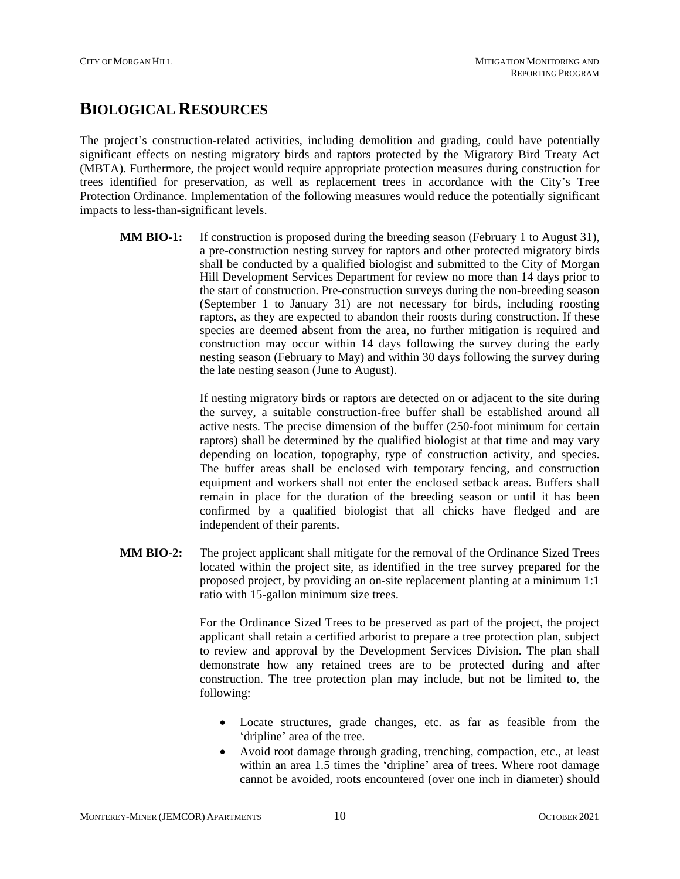### **BIOLOGICAL RESOURCES**

The project's construction-related activities, including demolition and grading, could have potentially significant effects on nesting migratory birds and raptors protected by the Migratory Bird Treaty Act (MBTA). Furthermore, the project would require appropriate protection measures during construction for trees identified for preservation, as well as replacement trees in accordance with the City's Tree Protection Ordinance. Implementation of the following measures would reduce the potentially significant impacts to less-than-significant levels.

**MM BIO-1:** If construction is proposed during the breeding season (February 1 to August 31), a pre-construction nesting survey for raptors and other protected migratory birds shall be conducted by a qualified biologist and submitted to the City of Morgan Hill Development Services Department for review no more than 14 days prior to the start of construction. Pre-construction surveys during the non-breeding season (September 1 to January 31) are not necessary for birds, including roosting raptors, as they are expected to abandon their roosts during construction. If these species are deemed absent from the area, no further mitigation is required and construction may occur within 14 days following the survey during the early nesting season (February to May) and within 30 days following the survey during the late nesting season (June to August).

> If nesting migratory birds or raptors are detected on or adjacent to the site during the survey, a suitable construction-free buffer shall be established around all active nests. The precise dimension of the buffer (250-foot minimum for certain raptors) shall be determined by the qualified biologist at that time and may vary depending on location, topography, type of construction activity, and species. The buffer areas shall be enclosed with temporary fencing, and construction equipment and workers shall not enter the enclosed setback areas. Buffers shall remain in place for the duration of the breeding season or until it has been confirmed by a qualified biologist that all chicks have fledged and are independent of their parents.

**MM BIO-2:** The project applicant shall mitigate for the removal of the Ordinance Sized Trees located within the project site, as identified in the tree survey prepared for the proposed project, by providing an on-site replacement planting at a minimum 1:1 ratio with 15-gallon minimum size trees.

> For the Ordinance Sized Trees to be preserved as part of the project, the project applicant shall retain a certified arborist to prepare a tree protection plan, subject to review and approval by the Development Services Division. The plan shall demonstrate how any retained trees are to be protected during and after construction. The tree protection plan may include, but not be limited to, the following:

- Locate structures, grade changes, etc. as far as feasible from the 'dripline' area of the tree.
- Avoid root damage through grading, trenching, compaction, etc., at least within an area 1.5 times the 'dripline' area of trees. Where root damage cannot be avoided, roots encountered (over one inch in diameter) should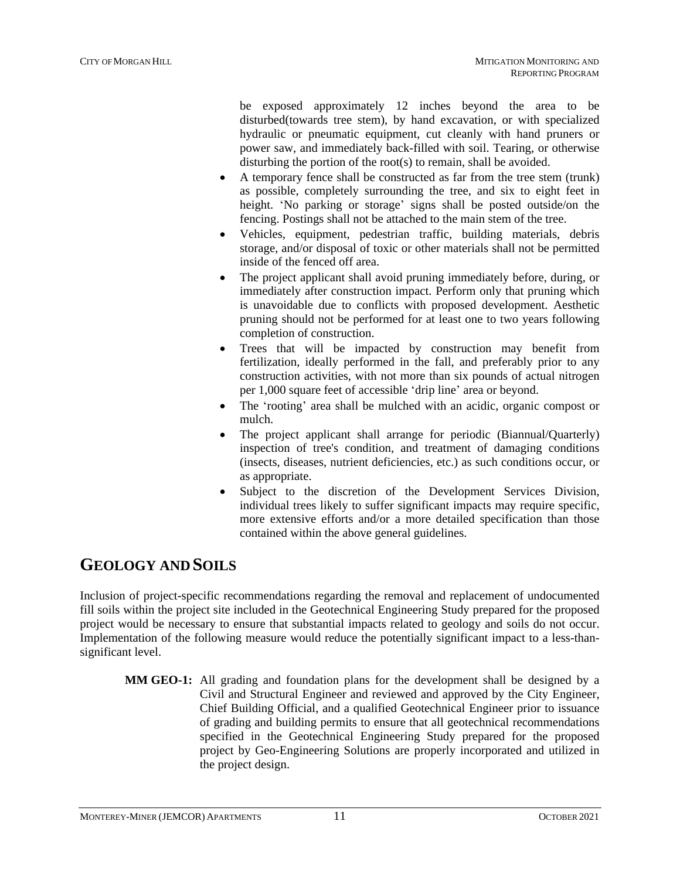be exposed approximately 12 inches beyond the area to be disturbed(towards tree stem), by hand excavation, or with specialized hydraulic or pneumatic equipment, cut cleanly with hand pruners or power saw, and immediately back-filled with soil. Tearing, or otherwise disturbing the portion of the root(s) to remain, shall be avoided.

- A temporary fence shall be constructed as far from the tree stem (trunk) as possible, completely surrounding the tree, and six to eight feet in height. 'No parking or storage' signs shall be posted outside/on the fencing. Postings shall not be attached to the main stem of the tree.
- Vehicles, equipment, pedestrian traffic, building materials, debris storage, and/or disposal of toxic or other materials shall not be permitted inside of the fenced off area.
- The project applicant shall avoid pruning immediately before, during, or immediately after construction impact. Perform only that pruning which is unavoidable due to conflicts with proposed development. Aesthetic pruning should not be performed for at least one to two years following completion of construction.
- Trees that will be impacted by construction may benefit from fertilization, ideally performed in the fall, and preferably prior to any construction activities, with not more than six pounds of actual nitrogen per 1,000 square feet of accessible 'drip line' area or beyond.
- The 'rooting' area shall be mulched with an acidic, organic compost or mulch.
- The project applicant shall arrange for periodic (Biannual/Quarterly) inspection of tree's condition, and treatment of damaging conditions (insects, diseases, nutrient deficiencies, etc.) as such conditions occur, or as appropriate.
- Subject to the discretion of the Development Services Division, individual trees likely to suffer significant impacts may require specific, more extensive efforts and/or a more detailed specification than those contained within the above general guidelines.

## **GEOLOGY AND SOILS**

Inclusion of project-specific recommendations regarding the removal and replacement of undocumented fill soils within the project site included in the Geotechnical Engineering Study prepared for the proposed project would be necessary to ensure that substantial impacts related to geology and soils do not occur. Implementation of the following measure would reduce the potentially significant impact to a less-thansignificant level.

**MM GEO-1:** All grading and foundation plans for the development shall be designed by a Civil and Structural Engineer and reviewed and approved by the City Engineer, Chief Building Official, and a qualified Geotechnical Engineer prior to issuance of grading and building permits to ensure that all geotechnical recommendations specified in the Geotechnical Engineering Study prepared for the proposed project by Geo-Engineering Solutions are properly incorporated and utilized in the project design.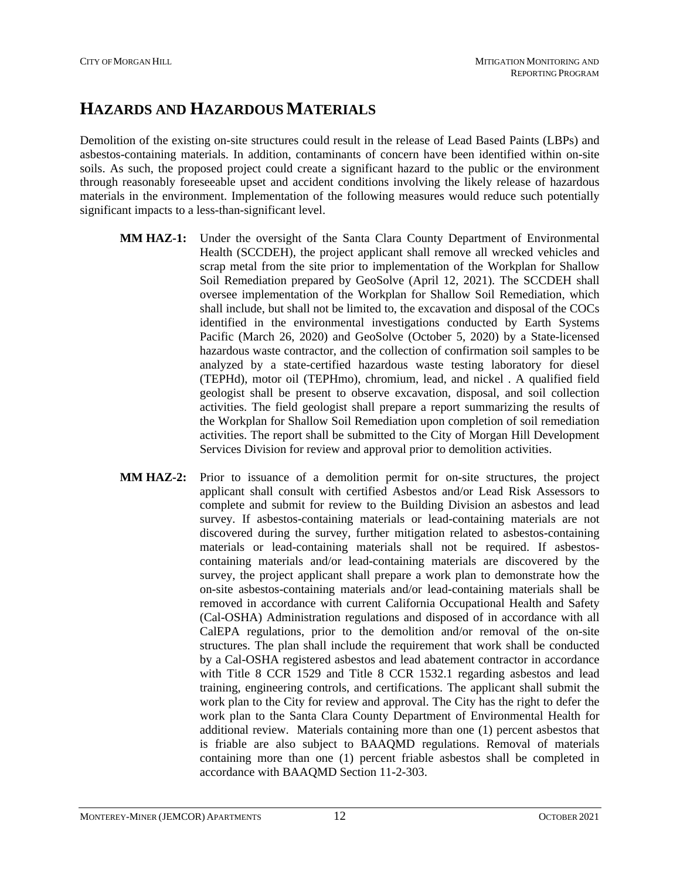### **HAZARDS AND HAZARDOUS MATERIALS**

Demolition of the existing on-site structures could result in the release of Lead Based Paints (LBPs) and asbestos-containing materials. In addition, contaminants of concern have been identified within on-site soils. As such, the proposed project could create a significant hazard to the public or the environment through reasonably foreseeable upset and accident conditions involving the likely release of hazardous materials in the environment. Implementation of the following measures would reduce such potentially significant impacts to a less-than-significant level.

- **MM HAZ-1:** Under the oversight of the Santa Clara County Department of Environmental Health (SCCDEH), the project applicant shall remove all wrecked vehicles and scrap metal from the site prior to implementation of the Workplan for Shallow Soil Remediation prepared by GeoSolve (April 12, 2021). The SCCDEH shall oversee implementation of the Workplan for Shallow Soil Remediation, which shall include, but shall not be limited to, the excavation and disposal of the COCs identified in the environmental investigations conducted by Earth Systems Pacific (March 26, 2020) and GeoSolve (October 5, 2020) by a State-licensed hazardous waste contractor, and the collection of confirmation soil samples to be analyzed by a state-certified hazardous waste testing laboratory for diesel (TEPHd), motor oil (TEPHmo), chromium, lead, and nickel . A qualified field geologist shall be present to observe excavation, disposal, and soil collection activities. The field geologist shall prepare a report summarizing the results of the Workplan for Shallow Soil Remediation upon completion of soil remediation activities. The report shall be submitted to the City of Morgan Hill Development Services Division for review and approval prior to demolition activities.
- **MM HAZ-2:** Prior to issuance of a demolition permit for on-site structures, the project applicant shall consult with certified Asbestos and/or Lead Risk Assessors to complete and submit for review to the Building Division an asbestos and lead survey. If asbestos-containing materials or lead-containing materials are not discovered during the survey, further mitigation related to asbestos-containing materials or lead-containing materials shall not be required. If asbestoscontaining materials and/or lead-containing materials are discovered by the survey, the project applicant shall prepare a work plan to demonstrate how the on-site asbestos-containing materials and/or lead-containing materials shall be removed in accordance with current California Occupational Health and Safety (Cal-OSHA) Administration regulations and disposed of in accordance with all CalEPA regulations, prior to the demolition and/or removal of the on-site structures. The plan shall include the requirement that work shall be conducted by a Cal-OSHA registered asbestos and lead abatement contractor in accordance with Title 8 CCR 1529 and Title 8 CCR 1532.1 regarding asbestos and lead training, engineering controls, and certifications. The applicant shall submit the work plan to the City for review and approval. The City has the right to defer the work plan to the Santa Clara County Department of Environmental Health for additional review. Materials containing more than one (1) percent asbestos that is friable are also subject to BAAQMD regulations. Removal of materials containing more than one (1) percent friable asbestos shall be completed in accordance with BAAQMD Section 11-2-303.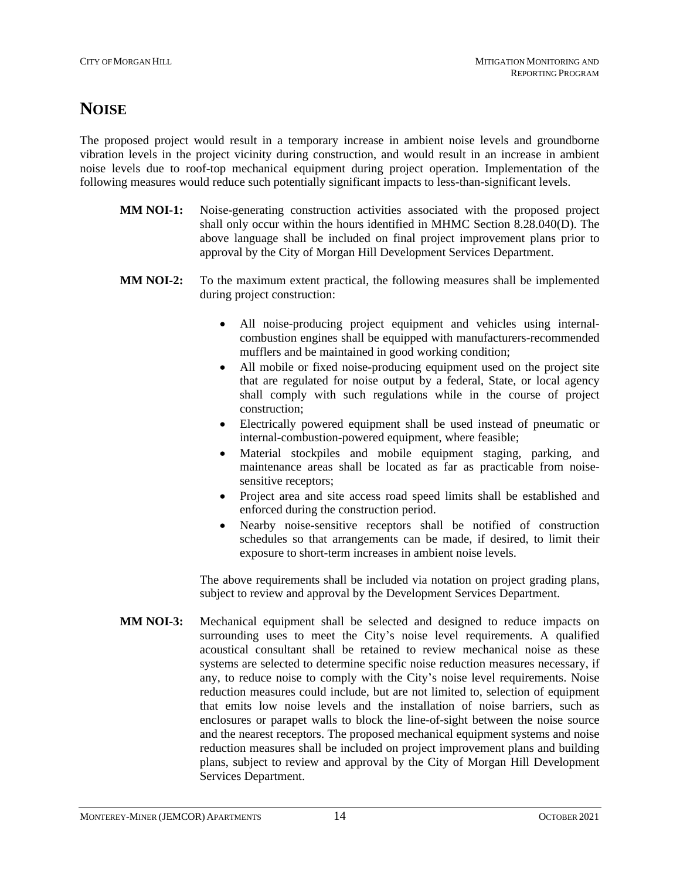### **NOISE**

The proposed project would result in a temporary increase in ambient noise levels and groundborne vibration levels in the project vicinity during construction, and would result in an increase in ambient noise levels due to roof-top mechanical equipment during project operation. Implementation of the following measures would reduce such potentially significant impacts to less-than-significant levels.

- **MM NOI-1:** Noise-generating construction activities associated with the proposed project shall only occur within the hours identified in MHMC Section 8.28.040(D). The above language shall be included on final project improvement plans prior to approval by the City of Morgan Hill Development Services Department.
- **MM NOI-2:** To the maximum extent practical, the following measures shall be implemented during project construction:
	- All noise-producing project equipment and vehicles using internalcombustion engines shall be equipped with manufacturers-recommended mufflers and be maintained in good working condition;
	- All mobile or fixed noise-producing equipment used on the project site that are regulated for noise output by a federal, State, or local agency shall comply with such regulations while in the course of project construction;
	- Electrically powered equipment shall be used instead of pneumatic or internal-combustion-powered equipment, where feasible;
	- Material stockpiles and mobile equipment staging, parking, and maintenance areas shall be located as far as practicable from noisesensitive receptors:
	- Project area and site access road speed limits shall be established and enforced during the construction period.
	- Nearby noise-sensitive receptors shall be notified of construction schedules so that arrangements can be made, if desired, to limit their exposure to short-term increases in ambient noise levels.

The above requirements shall be included via notation on project grading plans, subject to review and approval by the Development Services Department.

**MM NOI-3:** Mechanical equipment shall be selected and designed to reduce impacts on surrounding uses to meet the City's noise level requirements. A qualified acoustical consultant shall be retained to review mechanical noise as these systems are selected to determine specific noise reduction measures necessary, if any, to reduce noise to comply with the City's noise level requirements. Noise reduction measures could include, but are not limited to, selection of equipment that emits low noise levels and the installation of noise barriers, such as enclosures or parapet walls to block the line-of-sight between the noise source and the nearest receptors. The proposed mechanical equipment systems and noise reduction measures shall be included on project improvement plans and building plans, subject to review and approval by the City of Morgan Hill Development Services Department.